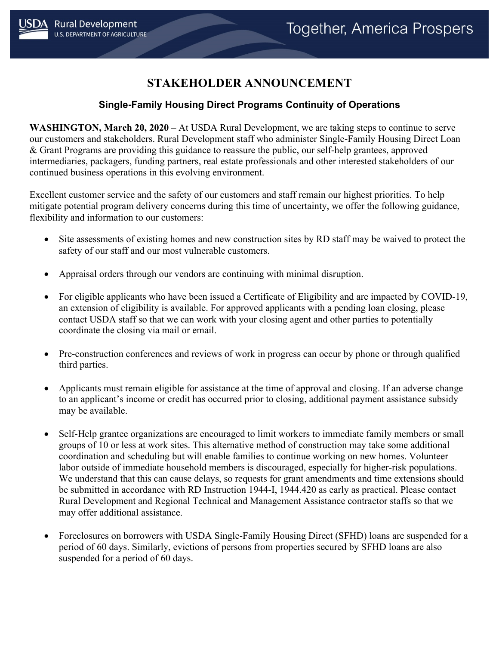## **STAKEHOLDER ANNOUNCEMENT**

## **Single-Family Housing Direct Programs Continuity of Operations**

**WASHINGTON, March 20, 2020** – At USDA Rural Development, we are taking steps to continue to serve our customers and stakeholders. Rural Development staff who administer Single-Family Housing Direct Loan & Grant Programs are providing this guidance to reassure the public, our self-help grantees, approved intermediaries, packagers, funding partners, real estate professionals and other interested stakeholders of our continued business operations in this evolving environment.

Excellent customer service and the safety of our customers and staff remain our highest priorities. To help mitigate potential program delivery concerns during this time of uncertainty, we offer the following guidance, flexibility and information to our customers:

- Site assessments of existing homes and new construction sites by RD staff may be waived to protect the safety of our staff and our most vulnerable customers.
- Appraisal orders through our vendors are continuing with minimal disruption.
- For eligible applicants who have been issued a Certificate of Eligibility and are impacted by COVID-19, an extension of eligibility is available. For approved applicants with a pending loan closing, please contact USDA staff so that we can work with your closing agent and other parties to potentially coordinate the closing via mail or email.
- Pre-construction conferences and reviews of work in progress can occur by phone or through qualified third parties.
- Applicants must remain eligible for assistance at the time of approval and closing. If an adverse change to an applicant's income or credit has occurred prior to closing, additional payment assistance subsidy may be available.
- Self-Help grantee organizations are encouraged to limit workers to immediate family members or small groups of 10 or less at work sites. This alternative method of construction may take some additional coordination and scheduling but will enable families to continue working on new homes. Volunteer labor outside of immediate household members is discouraged, especially for higher-risk populations. We understand that this can cause delays, so requests for grant amendments and time extensions should be submitted in accordance with RD Instruction 1944-I, 1944.420 as early as practical. Please contact Rural Development and Regional Technical and Management Assistance contractor staffs so that we may offer additional assistance.
- Foreclosures on borrowers with USDA Single-Family Housing Direct (SFHD) loans are suspended for a period of 60 days. Similarly, evictions of persons from properties secured by SFHD loans are also suspended for a period of 60 days.